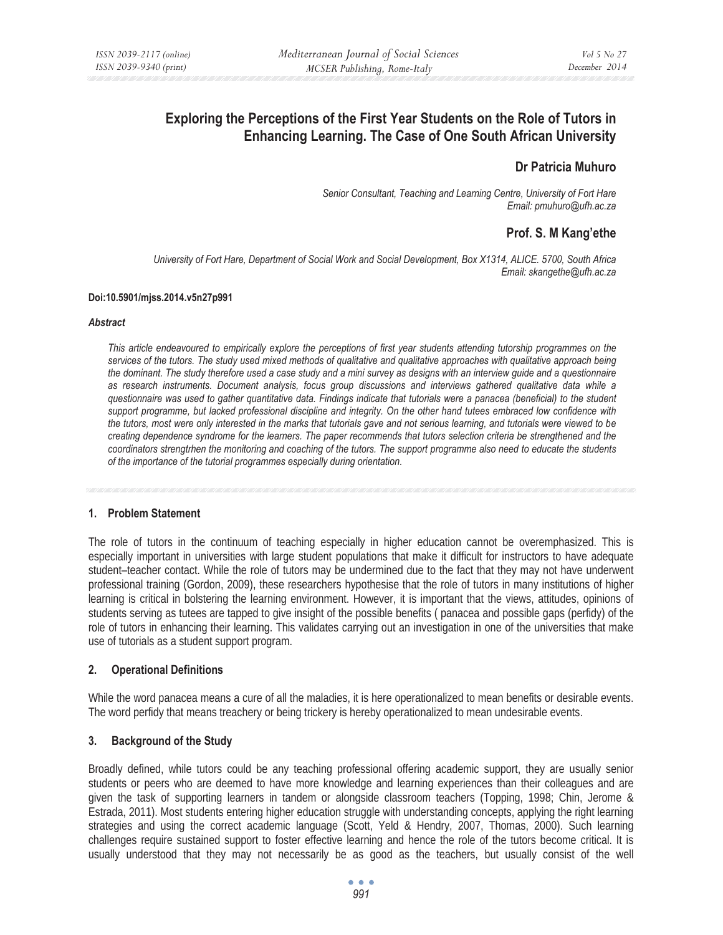# **Exploring the Perceptions of the First Year Students on the Role of Tutors in Enhancing Learning. The Case of One South African University**

# **Dr Patricia Muhuro**

*Senior Consultant, Teaching and Learning Centre, University of Fort Hare Email: pmuhuro@ufh.ac.za* 

# **Prof. S. M Kang'ethe**

*University of Fort Hare, Department of Social Work and Social Development, Box X1314, ALICE. 5700, South Africa Email: skangethe@ufh.ac.za* 

#### **Doi:10.5901/mjss.2014.v5n27p991**

#### *Abstract*

*This article endeavoured to empirically explore the perceptions of first year students attending tutorship programmes on the services of the tutors. The study used mixed methods of qualitative and qualitative approaches with qualitative approach being the dominant. The study therefore used a case study and a mini survey as designs with an interview guide and a questionnaire as research instruments. Document analysis, focus group discussions and interviews gathered qualitative data while a questionnaire was used to gather quantitative data. Findings indicate that tutorials were a panacea (beneficial) to the student support programme, but lacked professional discipline and integrity. On the other hand tutees embraced low confidence with the tutors, most were only interested in the marks that tutorials gave and not serious learning, and tutorials were viewed to be creating dependence syndrome for the learners. The paper recommends that tutors selection criteria be strengthened and the coordinators strengtrhen the monitoring and coaching of the tutors. The support programme also need to educate the students of the importance of the tutorial programmes especially during orientation.* 

### **1. Problem Statement**

The role of tutors in the continuum of teaching especially in higher education cannot be overemphasized. This is especially important in universities with large student populations that make it difficult for instructors to have adequate student–teacher contact. While the role of tutors may be undermined due to the fact that they may not have underwent professional training (Gordon, 2009), these researchers hypothesise that the role of tutors in many institutions of higher learning is critical in bolstering the learning environment. However, it is important that the views, attitudes, opinions of students serving as tutees are tapped to give insight of the possible benefits ( panacea and possible gaps (perfidy) of the role of tutors in enhancing their learning. This validates carrying out an investigation in one of the universities that make use of tutorials as a student support program.

### **2. Operational Definitions**

While the word panacea means a cure of all the maladies, it is here operationalized to mean benefits or desirable events. The word perfidy that means treachery or being trickery is hereby operationalized to mean undesirable events.

### **3. Background of the Study**

Broadly defined, while tutors could be any teaching professional offering academic support, they are usually senior students or peers who are deemed to have more knowledge and learning experiences than their colleagues and are given the task of supporting learners in tandem or alongside classroom teachers (Topping, 1998; Chin, Jerome & Estrada, 2011). Most students entering higher education struggle with understanding concepts, applying the right learning strategies and using the correct academic language (Scott, Yeld & Hendry, 2007, Thomas, 2000). Such learning challenges require sustained support to foster effective learning and hence the role of the tutors become critical. It is usually understood that they may not necessarily be as good as the teachers, but usually consist of the well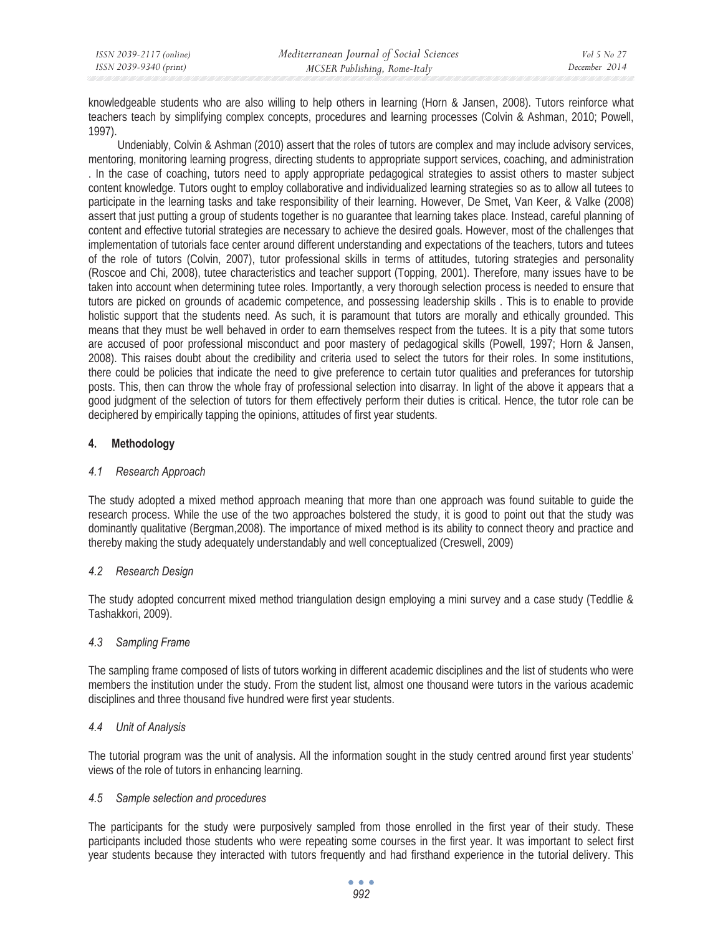| ISSN 2039-2117 (online) | Mediterranean Journal of Social Sciences | Vol 5 No 27   |
|-------------------------|------------------------------------------|---------------|
| ISSN 2039-9340 (print)  | MCSER Publishing, Rome-Italy             | December 2014 |

knowledgeable students who are also willing to help others in learning (Horn & Jansen, 2008). Tutors reinforce what teachers teach by simplifying complex concepts, procedures and learning processes (Colvin & Ashman, 2010; Powell, 1997).

Undeniably, Colvin & Ashman (2010) assert that the roles of tutors are complex and may include advisory services, mentoring, monitoring learning progress, directing students to appropriate support services, coaching, and administration . In the case of coaching, tutors need to apply appropriate pedagogical strategies to assist others to master subject content knowledge. Tutors ought to employ collaborative and individualized learning strategies so as to allow all tutees to participate in the learning tasks and take responsibility of their learning. However, De Smet, Van Keer, & Valke (2008) assert that just putting a group of students together is no guarantee that learning takes place. Instead, careful planning of content and effective tutorial strategies are necessary to achieve the desired goals. However, most of the challenges that implementation of tutorials face center around different understanding and expectations of the teachers, tutors and tutees of the role of tutors (Colvin, 2007), tutor professional skills in terms of attitudes, tutoring strategies and personality (Roscoe and Chi, 2008), tutee characteristics and teacher support (Topping, 2001). Therefore, many issues have to be taken into account when determining tutee roles. Importantly, a very thorough selection process is needed to ensure that tutors are picked on grounds of academic competence, and possessing leadership skills . This is to enable to provide holistic support that the students need. As such, it is paramount that tutors are morally and ethically grounded. This means that they must be well behaved in order to earn themselves respect from the tutees. It is a pity that some tutors are accused of poor professional misconduct and poor mastery of pedagogical skills (Powell, 1997; Horn & Jansen, 2008). This raises doubt about the credibility and criteria used to select the tutors for their roles. In some institutions, there could be policies that indicate the need to give preference to certain tutor qualities and preferances for tutorship posts. This, then can throw the whole fray of professional selection into disarray. In light of the above it appears that a good judgment of the selection of tutors for them effectively perform their duties is critical. Hence, the tutor role can be deciphered by empirically tapping the opinions, attitudes of first year students.

# **4. Methodology**

## *4.1 Research Approach*

The study adopted a mixed method approach meaning that more than one approach was found suitable to guide the research process. While the use of the two approaches bolstered the study, it is good to point out that the study was dominantly qualitative (Bergman,2008). The importance of mixed method is its ability to connect theory and practice and thereby making the study adequately understandably and well conceptualized (Creswell, 2009)

# *4.2 Research Design*

The study adopted concurrent mixed method triangulation design employing a mini survey and a case study (Teddlie & Tashakkori, 2009).

# *4.3 Sampling Frame*

The sampling frame composed of lists of tutors working in different academic disciplines and the list of students who were members the institution under the study. From the student list, almost one thousand were tutors in the various academic disciplines and three thousand five hundred were first year students.

# *4.4 Unit of Analysis*

The tutorial program was the unit of analysis. All the information sought in the study centred around first year students' views of the role of tutors in enhancing learning.

### *4.5 Sample selection and procedures*

The participants for the study were purposively sampled from those enrolled in the first year of their study. These participants included those students who were repeating some courses in the first year. It was important to select first year students because they interacted with tutors frequently and had firsthand experience in the tutorial delivery. This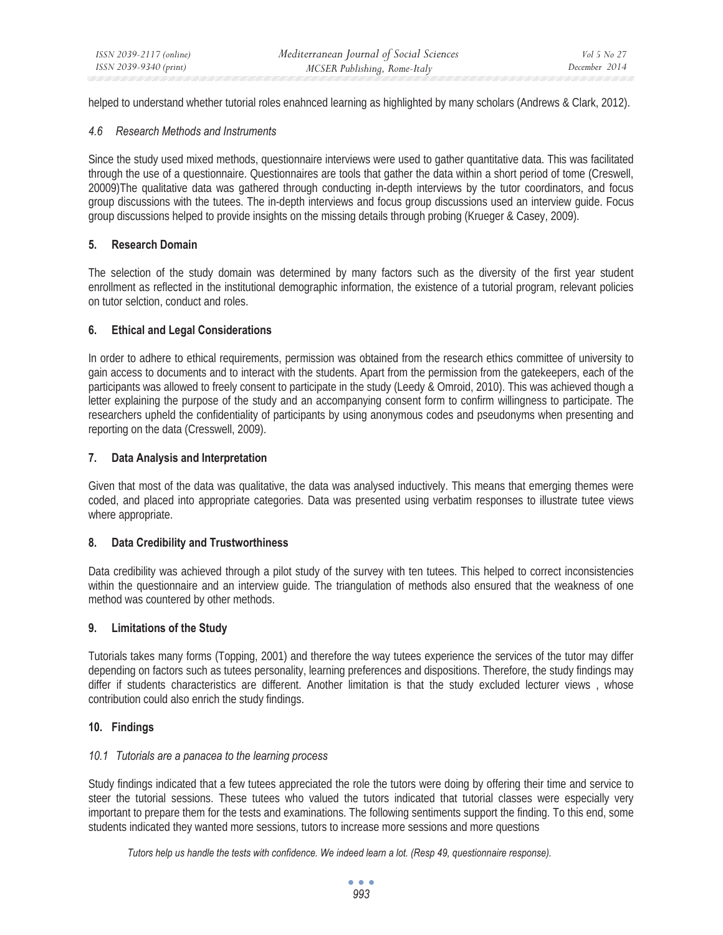helped to understand whether tutorial roles enahnced learning as highlighted by many scholars (Andrews & Clark, 2012).

#### *4.6 Research Methods and Instruments*

Since the study used mixed methods, questionnaire interviews were used to gather quantitative data. This was facilitated through the use of a questionnaire. Questionnaires are tools that gather the data within a short period of tome (Creswell, 20009)The qualitative data was gathered through conducting in-depth interviews by the tutor coordinators, and focus group discussions with the tutees. The in-depth interviews and focus group discussions used an interview guide. Focus group discussions helped to provide insights on the missing details through probing (Krueger & Casey, 2009).

# **5. Research Domain**

The selection of the study domain was determined by many factors such as the diversity of the first year student enrollment as reflected in the institutional demographic information, the existence of a tutorial program, relevant policies on tutor selction, conduct and roles.

# **6. Ethical and Legal Considerations**

In order to adhere to ethical requirements, permission was obtained from the research ethics committee of university to gain access to documents and to interact with the students. Apart from the permission from the gatekeepers, each of the participants was allowed to freely consent to participate in the study (Leedy & Omroid, 2010). This was achieved though a letter explaining the purpose of the study and an accompanying consent form to confirm willingness to participate. The researchers upheld the confidentiality of participants by using anonymous codes and pseudonyms when presenting and reporting on the data (Cresswell, 2009).

# **7. Data Analysis and Interpretation**

Given that most of the data was qualitative, the data was analysed inductively. This means that emerging themes were coded, and placed into appropriate categories. Data was presented using verbatim responses to illustrate tutee views where appropriate.

# **8. Data Credibility and Trustworthiness**

Data credibility was achieved through a pilot study of the survey with ten tutees. This helped to correct inconsistencies within the questionnaire and an interview guide. The triangulation of methods also ensured that the weakness of one method was countered by other methods.

### **9. Limitations of the Study**

Tutorials takes many forms (Topping, 2001) and therefore the way tutees experience the services of the tutor may differ depending on factors such as tutees personality, learning preferences and dispositions. Therefore, the study findings may differ if students characteristics are different. Another limitation is that the study excluded lecturer views , whose contribution could also enrich the study findings.

### **10. Findings**

### *10.1 Tutorials are a panacea to the learning process*

Study findings indicated that a few tutees appreciated the role the tutors were doing by offering their time and service to steer the tutorial sessions. These tutees who valued the tutors indicated that tutorial classes were especially very important to prepare them for the tests and examinations. The following sentiments support the finding. To this end, some students indicated they wanted more sessions, tutors to increase more sessions and more questions

*Tutors help us handle the tests with confidence. We indeed learn a lot. (Resp 49, questionnaire response).* 

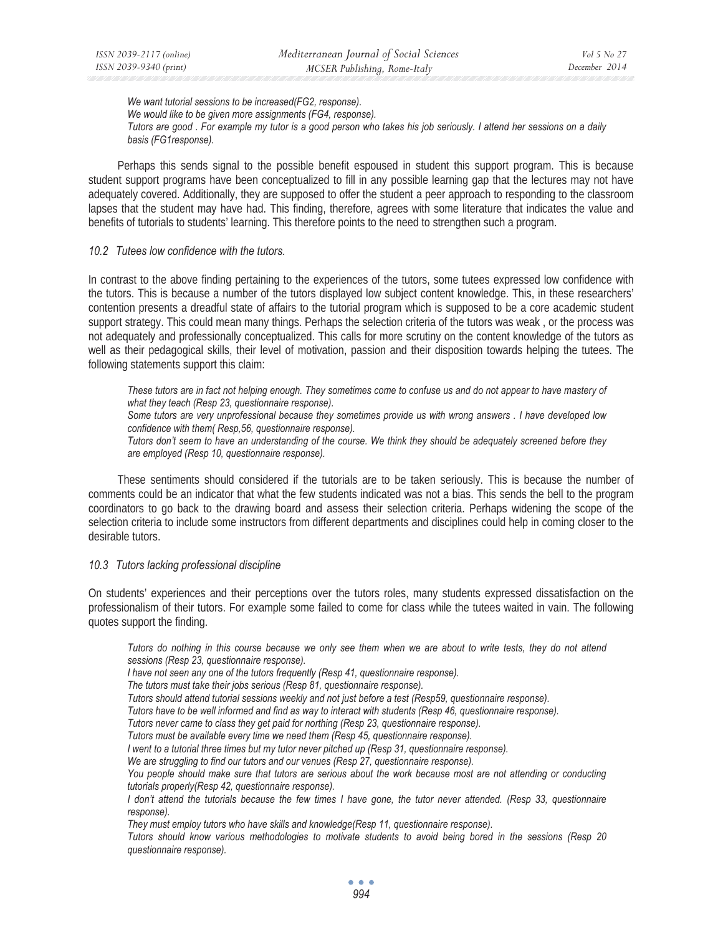*We want tutorial sessions to be increased(FG2, response). We would like to be given more assignments (FG4, response). Tutors are good . For example my tutor is a good person who takes his job seriously. I attend her sessions on a daily basis (FG1response).* 

Perhaps this sends signal to the possible benefit espoused in student this support program. This is because student support programs have been conceptualized to fill in any possible learning gap that the lectures may not have adequately covered. Additionally, they are supposed to offer the student a peer approach to responding to the classroom lapses that the student may have had. This finding, therefore, agrees with some literature that indicates the value and benefits of tutorials to students' learning. This therefore points to the need to strengthen such a program.

#### *10.2 Tutees low confidence with the tutors.*

In contrast to the above finding pertaining to the experiences of the tutors, some tutees expressed low confidence with the tutors. This is because a number of the tutors displayed low subject content knowledge. This, in these researchers' contention presents a dreadful state of affairs to the tutorial program which is supposed to be a core academic student support strategy. This could mean many things. Perhaps the selection criteria of the tutors was weak , or the process was not adequately and professionally conceptualized. This calls for more scrutiny on the content knowledge of the tutors as well as their pedagogical skills, their level of motivation, passion and their disposition towards helping the tutees. The following statements support this claim:

These tutors are in fact not helping enough. They sometimes come to confuse us and do not appear to have mastery of *what they teach (Resp 23, questionnaire response).* 

*Some tutors are very unprofessional because they sometimes provide us with wrong answers . I have developed low confidence with them( Resp,56, questionnaire response).* 

*Tutors don't seem to have an understanding of the course. We think they should be adequately screened before they are employed (Resp 10, questionnaire response).* 

These sentiments should considered if the tutorials are to be taken seriously. This is because the number of comments could be an indicator that what the few students indicated was not a bias. This sends the bell to the program coordinators to go back to the drawing board and assess their selection criteria. Perhaps widening the scope of the selection criteria to include some instructors from different departments and disciplines could help in coming closer to the desirable tutors.

#### *10.3 Tutors lacking professional discipline*

On students' experiences and their perceptions over the tutors roles, many students expressed dissatisfaction on the professionalism of their tutors. For example some failed to come for class while the tutees waited in vain. The following quotes support the finding.

*Tutors do nothing in this course because we only see them when we are about to write tests, they do not attend sessions (Resp 23, questionnaire response).* 

*I have not seen any one of the tutors frequently (Resp 41, questionnaire response).* 

*The tutors must take their jobs serious (Resp 81, questionnaire response).* 

*Tutors should attend tutorial sessions weekly and not just before a test (Resp59, questionnaire response).* 

*Tutors have to be well informed and find as way to interact with students (Resp 46, questionnaire response).* 

*Tutors never came to class they get paid for northing (Resp 23, questionnaire response).* 

*Tutors must be available every time we need them (Resp 45, questionnaire response).* 

*I went to a tutorial three times but my tutor never pitched up (Resp 31, questionnaire response).* 

*We are struggling to find our tutors and our venues (Resp 27, questionnaire response).* 

You people should make sure that tutors are serious about the work because most are not attending or conducting *tutorials properly(Resp 42, questionnaire response).* 

*I don't attend the tutorials because the few times I have gone, the tutor never attended. (Resp 33, questionnaire response).* 

*They must employ tutors who have skills and knowledge(Resp 11, questionnaire response).* 

*Tutors should know various methodologies to motivate students to avoid being bored in the sessions (Resp 20 questionnaire response).*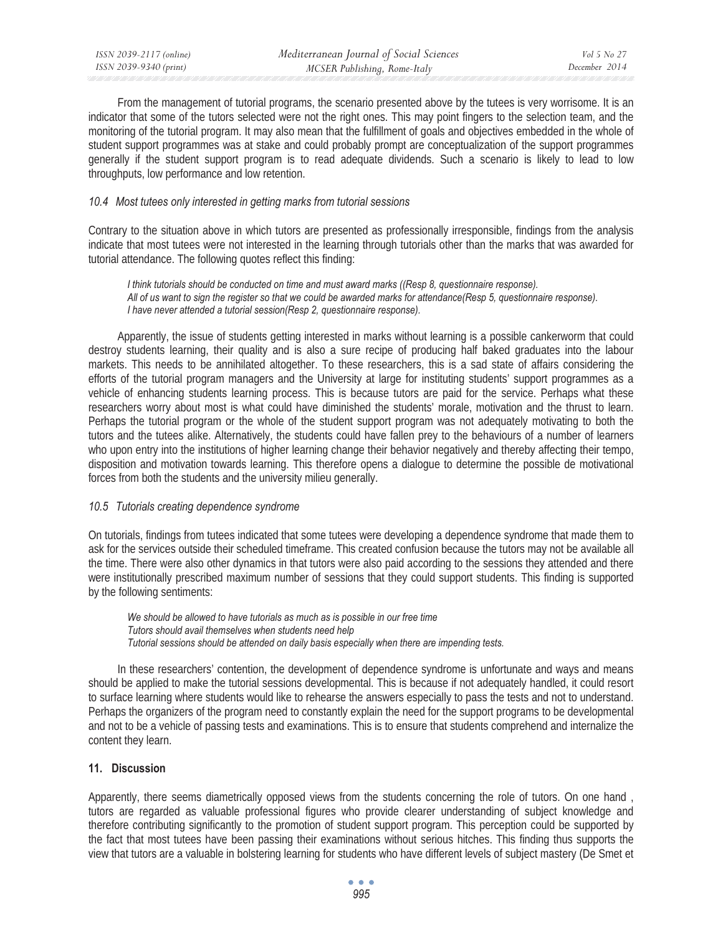From the management of tutorial programs, the scenario presented above by the tutees is very worrisome. It is an indicator that some of the tutors selected were not the right ones. This may point fingers to the selection team, and the monitoring of the tutorial program. It may also mean that the fulfillment of goals and objectives embedded in the whole of student support programmes was at stake and could probably prompt are conceptualization of the support programmes generally if the student support program is to read adequate dividends. Such a scenario is likely to lead to low throughputs, low performance and low retention.

# *10.4 Most tutees only interested in getting marks from tutorial sessions*

Contrary to the situation above in which tutors are presented as professionally irresponsible, findings from the analysis indicate that most tutees were not interested in the learning through tutorials other than the marks that was awarded for tutorial attendance. The following quotes reflect this finding:

*I think tutorials should be conducted on time and must award marks ((Resp 8, questionnaire response). All of us want to sign the register so that we could be awarded marks for attendance(Resp 5, questionnaire response). I have never attended a tutorial session(Resp 2, questionnaire response).* 

Apparently, the issue of students getting interested in marks without learning is a possible cankerworm that could destroy students learning, their quality and is also a sure recipe of producing half baked graduates into the labour markets. This needs to be annihilated altogether. To these researchers, this is a sad state of affairs considering the efforts of the tutorial program managers and the University at large for instituting students' support programmes as a vehicle of enhancing students learning process. This is because tutors are paid for the service. Perhaps what these researchers worry about most is what could have diminished the students' morale, motivation and the thrust to learn. Perhaps the tutorial program or the whole of the student support program was not adequately motivating to both the tutors and the tutees alike. Alternatively, the students could have fallen prey to the behaviours of a number of learners who upon entry into the institutions of higher learning change their behavior negatively and thereby affecting their tempo, disposition and motivation towards learning. This therefore opens a dialogue to determine the possible de motivational forces from both the students and the university milieu generally.

### *10.5 Tutorials creating dependence syndrome*

On tutorials, findings from tutees indicated that some tutees were developing a dependence syndrome that made them to ask for the services outside their scheduled timeframe. This created confusion because the tutors may not be available all the time. There were also other dynamics in that tutors were also paid according to the sessions they attended and there were institutionally prescribed maximum number of sessions that they could support students. This finding is supported by the following sentiments:

*We should be allowed to have tutorials as much as is possible in our free time Tutors should avail themselves when students need help Tutorial sessions should be attended on daily basis especially when there are impending tests.* 

In these researchers' contention, the development of dependence syndrome is unfortunate and ways and means should be applied to make the tutorial sessions developmental. This is because if not adequately handled, it could resort to surface learning where students would like to rehearse the answers especially to pass the tests and not to understand. Perhaps the organizers of the program need to constantly explain the need for the support programs to be developmental and not to be a vehicle of passing tests and examinations. This is to ensure that students comprehend and internalize the content they learn.

### **11. Discussion**

Apparently, there seems diametrically opposed views from the students concerning the role of tutors. On one hand , tutors are regarded as valuable professional figures who provide clearer understanding of subject knowledge and therefore contributing significantly to the promotion of student support program. This perception could be supported by the fact that most tutees have been passing their examinations without serious hitches. This finding thus supports the view that tutors are a valuable in bolstering learning for students who have different levels of subject mastery (De Smet et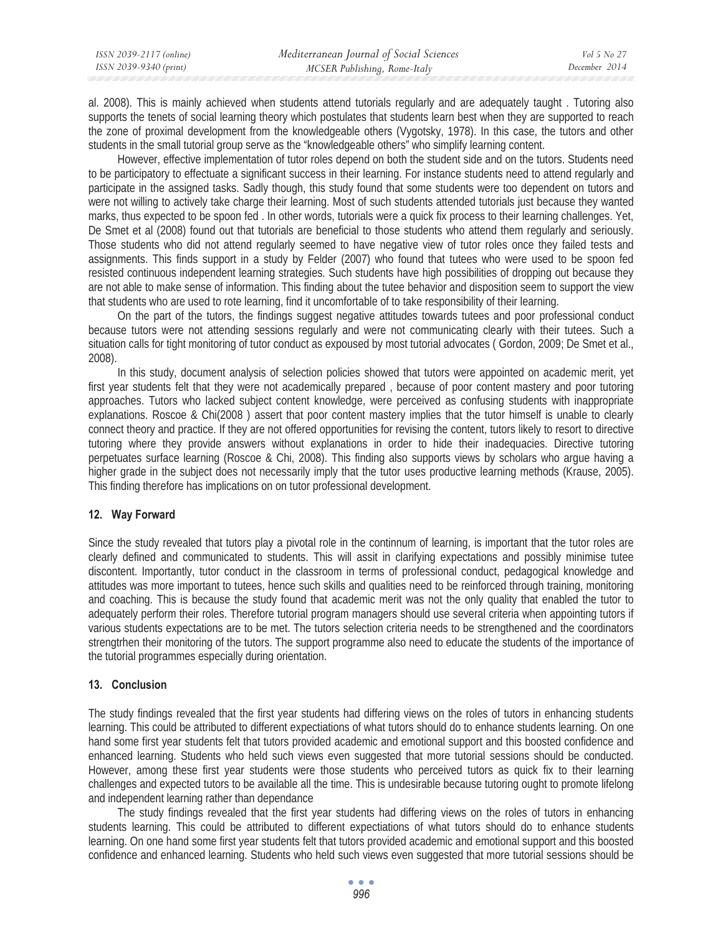al. 2008). This is mainly achieved when students attend tutorials regularly and are adequately taught . Tutoring also supports the tenets of social learning theory which postulates that students learn best when they are supported to reach the zone of proximal development from the knowledgeable others (Vygotsky, 1978). In this case, the tutors and other students in the small tutorial group serve as the "knowledgeable others" who simplify learning content.

However, effective implementation of tutor roles depend on both the student side and on the tutors. Students need to be participatory to effectuate a significant success in their learning. For instance students need to attend regularly and participate in the assigned tasks. Sadly though, this study found that some students were too dependent on tutors and were not willing to actively take charge their learning. Most of such students attended tutorials just because they wanted marks, thus expected to be spoon fed . In other words, tutorials were a quick fix process to their learning challenges. Yet, De Smet et al (2008) found out that tutorials are beneficial to those students who attend them regularly and seriously. Those students who did not attend regularly seemed to have negative view of tutor roles once they failed tests and assignments. This finds support in a study by Felder (2007) who found that tutees who were used to be spoon fed resisted continuous independent learning strategies. Such students have high possibilities of dropping out because they are not able to make sense of information. This finding about the tutee behavior and disposition seem to support the view that students who are used to rote learning, find it uncomfortable of to take responsibility of their learning.

On the part of the tutors, the findings suggest negative attitudes towards tutees and poor professional conduct because tutors were not attending sessions regularly and were not communicating clearly with their tutees. Such a situation calls for tight monitoring of tutor conduct as expoused by most tutorial advocates ( Gordon, 2009; De Smet et al., 2008).

In this study, document analysis of selection policies showed that tutors were appointed on academic merit, yet first year students felt that they were not academically prepared , because of poor content mastery and poor tutoring approaches. Tutors who lacked subject content knowledge, were perceived as confusing students with inappropriate explanations. Roscoe & Chi(2008 ) assert that poor content mastery implies that the tutor himself is unable to clearly connect theory and practice. If they are not offered opportunities for revising the content, tutors likely to resort to directive tutoring where they provide answers without explanations in order to hide their inadequacies. Directive tutoring perpetuates surface learning (Roscoe & Chi, 2008). This finding also supports views by scholars who argue having a higher grade in the subject does not necessarily imply that the tutor uses productive learning methods (Krause, 2005). This finding therefore has implications on on tutor professional development.

# **12. Way Forward**

Since the study revealed that tutors play a pivotal role in the continnum of learning, is important that the tutor roles are clearly defined and communicated to students. This will assit in clarifying expectations and possibly minimise tutee discontent. Importantly, tutor conduct in the classroom in terms of professional conduct, pedagogical knowledge and attitudes was more important to tutees, hence such skills and qualities need to be reinforced through training, monitoring and coaching. This is because the study found that academic merit was not the only quality that enabled the tutor to adequately perform their roles. Therefore tutorial program managers should use several criteria when appointing tutors if various students expectations are to be met. The tutors selection criteria needs to be strengthened and the coordinators strengtrhen their monitoring of the tutors. The support programme also need to educate the students of the importance of the tutorial programmes especially during orientation.

# **13. Conclusion**

The study findings revealed that the first year students had differing views on the roles of tutors in enhancing students learning. This could be attributed to different expectiations of what tutors should do to enhance students learning. On one hand some first year students felt that tutors provided academic and emotional support and this boosted confidence and enhanced learning. Students who held such views even suggested that more tutorial sessions should be conducted. However, among these first year students were those students who perceived tutors as quick fix to their learning challenges and expected tutors to be available all the time. This is undesirable because tutoring ought to promote lifelong and independent learning rather than dependance

The study findings revealed that the first year students had differing views on the roles of tutors in enhancing students learning. This could be attributed to different expectiations of what tutors should do to enhance students learning. On one hand some first year students felt that tutors provided academic and emotional support and this boosted confidence and enhanced learning. Students who held such views even suggested that more tutorial sessions should be